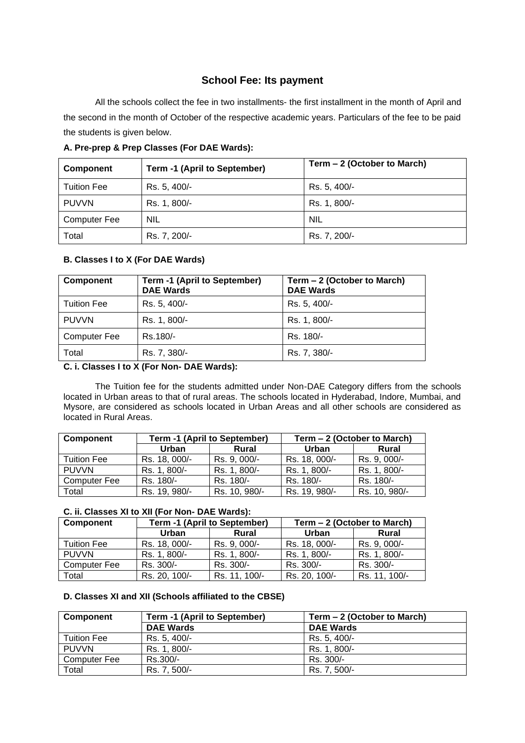# **School Fee: Its payment**

All the schools collect the fee in two installments- the first installment in the month of April and the second in the month of October of the respective academic years. Particulars of the fee to be paid the students is given below.

| <b>Component</b>    | Term -1 (April to September) | Term – 2 (October to March) |
|---------------------|------------------------------|-----------------------------|
| <b>Tuition Fee</b>  | Rs. 5, 400/-                 | Rs. 5, 400/-                |
| <b>PUVVN</b>        | Rs. 1, 800/-                 | Rs. 1, 800/-                |
| <b>Computer Fee</b> | <b>NIL</b>                   | <b>NIL</b>                  |
| Total               | Rs. 7, 200/-                 | Rs. 7, 200/-                |

**A. Pre-prep & Prep Classes (For DAE Wards):**

# **B. Classes I to X (For DAE Wards)**

| Component           | Term -1 (April to September)<br><b>DAE Wards</b> | Term – 2 (October to March)<br><b>DAE Wards</b> |
|---------------------|--------------------------------------------------|-------------------------------------------------|
| <b>Tuition Fee</b>  | Rs. 5, 400/-                                     | Rs. 5, 400/-                                    |
| <b>PUVVN</b>        | Rs. 1, 800/-                                     | Rs. 1, 800/-                                    |
| <b>Computer Fee</b> | Rs.180/-                                         | Rs. 180/-                                       |
| Total               | Rs. 7, 380/-                                     | Rs. 7, 380/-                                    |

# **C. i. Classes I to X (For Non- DAE Wards):**

The Tuition fee for the students admitted under Non-DAE Category differs from the schools located in Urban areas to that of rural areas. The schools located in Hyderabad, Indore, Mumbai, and Mysore, are considered as schools located in Urban Areas and all other schools are considered as located in Rural Areas.

| Component           | Term -1 (April to September) |               | Term - 2 (October to March) |               |
|---------------------|------------------------------|---------------|-----------------------------|---------------|
|                     | Urban                        | Rural         | Urban                       | Rural         |
| Tuition Fee         | Rs. 18, 000/-                | Rs. 9, 000/-  | Rs. 18, 000/-               | Rs. 9, 000/-  |
| <b>PUVVN</b>        | Rs. 1, 800/-                 | Rs. 1, 800/-  | Rs. 1, 800/-                | Rs. 1, 800/-  |
| <b>Computer Fee</b> | Rs. 180/-                    | Rs. 180/-     | Rs. 180/-                   | Rs. 180/-     |
| Total               | Rs. 19, 980/-                | Rs. 10, 980/- | Rs. 19, 980/-               | Rs. 10, 980/- |

# **C. ii. Classes XI to XII (For Non- DAE Wards):**

| <b>Component</b>    | Term -1 (April to September) |               | Term - 2 (October to March) |               |
|---------------------|------------------------------|---------------|-----------------------------|---------------|
|                     | Urban                        | Rural         | Urban                       | Rural         |
| <b>Tuition Fee</b>  | Rs. 18, 000/-                | Rs. 9, 000/-  | Rs. 18, 000/-               | Rs. 9, 000/-  |
| <b>PUVVN</b>        | Rs. 1, 800/-                 | Rs. 1, 800/-  | Rs. 1, 800/-                | Rs. 1, 800/-  |
| <b>Computer Fee</b> | Rs. 300/-                    | Rs. 300/-     | Rs. 300/-                   | Rs. 300/-     |
| Total               | Rs. 20, 100/-                | Rs. 11, 100/- | Rs. 20, 100/-               | Rs. 11, 100/- |

# **D. Classes XI and XII (Schools affiliated to the CBSE)**

| Component          | Term -1 (April to September) | Term - 2 (October to March) |  |
|--------------------|------------------------------|-----------------------------|--|
|                    | <b>DAE Wards</b>             | <b>DAE Wards</b>            |  |
| <b>Tuition Fee</b> | Rs. 5, 400/-                 | Rs. 5, 400/-                |  |
| <b>PUVVN</b>       | Rs. 1, 800/-                 | Rs. 1, 800/-                |  |
| Computer Fee       | Rs.300/-                     | Rs. 300/-                   |  |
| Total              | Rs. 7, 500/-                 | Rs. 7, 500/-                |  |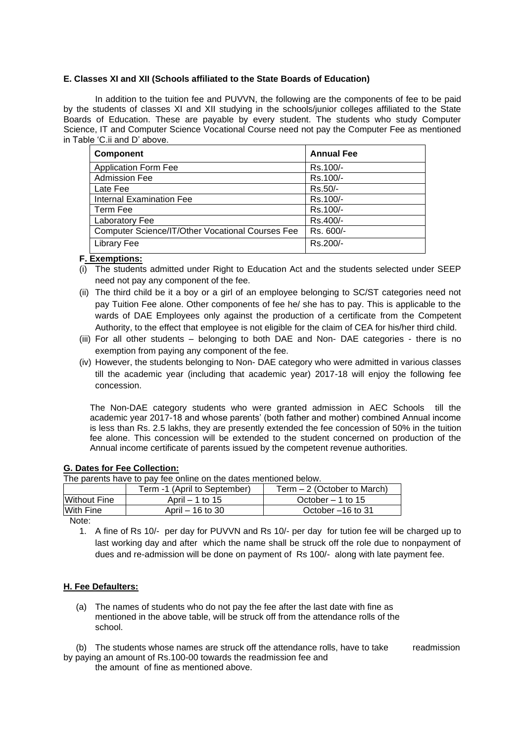### **E. Classes XI and XII (Schools affiliated to the State Boards of Education)**

In addition to the tuition fee and PUVVN, the following are the components of fee to be paid by the students of classes XI and XII studying in the schools/junior colleges affiliated to the State Boards of Education. These are payable by every student. The students who study Computer Science, IT and Computer Science Vocational Course need not pay the Computer Fee as mentioned in Table 'C.ii and D' above.

| <b>Component</b>                                        | <b>Annual Fee</b> |
|---------------------------------------------------------|-------------------|
| <b>Application Form Fee</b>                             | Rs.100/-          |
| <b>Admission Fee</b>                                    | Rs.100/-          |
| Late Fee                                                | Rs.50/-           |
| <b>Internal Examination Fee</b>                         | Rs.100/-          |
| Term Fee                                                | Rs.100/-          |
| Laboratory Fee                                          | Rs.400/-          |
| <b>Computer Science/IT/Other Vocational Courses Fee</b> | Rs. 600/-         |
| Library Fee                                             | Rs.200/-          |

### **F. Exemptions:**

- (i) The students admitted under Right to Education Act and the students selected under SEEP need not pay any component of the fee.
- (ii) The third child be it a boy or a girl of an employee belonging to SC/ST categories need not pay Tuition Fee alone. Other components of fee he/ she has to pay. This is applicable to the wards of DAE Employees only against the production of a certificate from the Competent Authority, to the effect that employee is not eligible for the claim of CEA for his/her third child.
- (iii) For all other students belonging to both DAE and Non- DAE categories there is no exemption from paying any component of the fee.
- (iv) However, the students belonging to Non- DAE category who were admitted in various classes till the academic year (including that academic year) 2017-18 will enjoy the following fee concession.

The Non-DAE category students who were granted admission in AEC Schools till the academic year 2017-18 and whose parents' (both father and mother) combined Annual income is less than Rs. 2.5 lakhs, they are presently extended the fee concession of 50% in the tuition fee alone. This concession will be extended to the student concerned on production of the Annual income certificate of parents issued by the competent revenue authorities.

#### **G. Dates for Fee Collection:** The parents have to pay fee online on the dates mentioned below.

| THE parents have to pay lee online on the dates membried below. |                              |                              |
|-----------------------------------------------------------------|------------------------------|------------------------------|
|                                                                 | Term -1 (April to September) | Term $-2$ (October to March) |
| <b>Without Fine</b>                                             | April $-1$ to 15             | October $-1$ to 15           |
| With Fine                                                       | April – 16 to 30             | October -16 to 31            |

Note:

1. A fine of Rs 10/- per day for PUVVN and Rs 10/- per day for tution fee will be charged up to last working day and after which the name shall be struck off the role due to nonpayment of dues and re-admission will be done on payment of Rs 100/- along with late payment fee.

#### **H. Fee Defaulters:**

- (a) The names of students who do not pay the fee after the last date with fine as mentioned in the above table, will be struck off from the attendance rolls of the school.
- (b) The students whose names are struck off the attendance rolls, have to take readmission by paying an amount of Rs.100-00 towards the readmission fee and

the amount of fine as mentioned above.